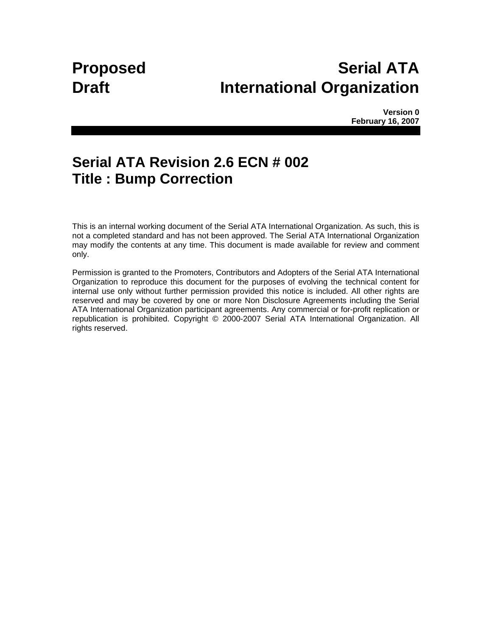# **Proposed Serial ATA Draft International Organization**

**Version 0 February 16, 2007** 

## **Serial ATA Revision 2.6 ECN # 002 Title : Bump Correction**

This is an internal working document of the Serial ATA International Organization. As such, this is not a completed standard and has not been approved. The Serial ATA International Organization may modify the contents at any time. This document is made available for review and comment only.

Permission is granted to the Promoters, Contributors and Adopters of the Serial ATA International Organization to reproduce this document for the purposes of evolving the technical content for internal use only without further permission provided this notice is included. All other rights are reserved and may be covered by one or more Non Disclosure Agreements including the Serial ATA International Organization participant agreements. Any commercial or for-profit replication or republication is prohibited. Copyright © 2000-2007 Serial ATA International Organization. All rights reserved.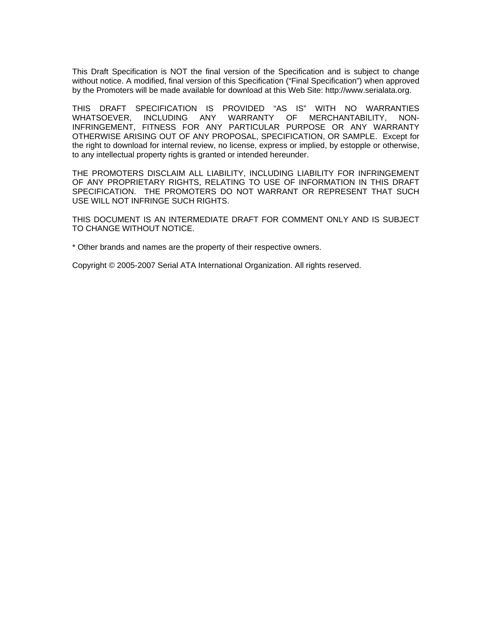This Draft Specification is NOT the final version of the Specification and is subject to change without notice. A modified, final version of this Specification ("Final Specification") when approved by the Promoters will be made available for download at this Web Site: http://www.serialata.org.

THIS DRAFT SPECIFICATION IS PROVIDED "AS IS" WITH NO WARRANTIES WHATSOEVER, INCLUDING ANY WARRANTY OF MERCHANTABILITY, NON-INFRINGEMENT, FITNESS FOR ANY PARTICULAR PURPOSE OR ANY WARRANTY OTHERWISE ARISING OUT OF ANY PROPOSAL, SPECIFICATION, OR SAMPLE. Except for the right to download for internal review, no license, express or implied, by estopple or otherwise, to any intellectual property rights is granted or intended hereunder.

THE PROMOTERS DISCLAIM ALL LIABILITY, INCLUDING LIABILITY FOR INFRINGEMENT OF ANY PROPRIETARY RIGHTS, RELATING TO USE OF INFORMATION IN THIS DRAFT SPECIFICATION. THE PROMOTERS DO NOT WARRANT OR REPRESENT THAT SUCH USE WILL NOT INFRINGE SUCH RIGHTS.

THIS DOCUMENT IS AN INTERMEDIATE DRAFT FOR COMMENT ONLY AND IS SUBJECT TO CHANGE WITHOUT NOTICE.

\* Other brands and names are the property of their respective owners.

Copyright © 2005-2007 Serial ATA International Organization. All rights reserved.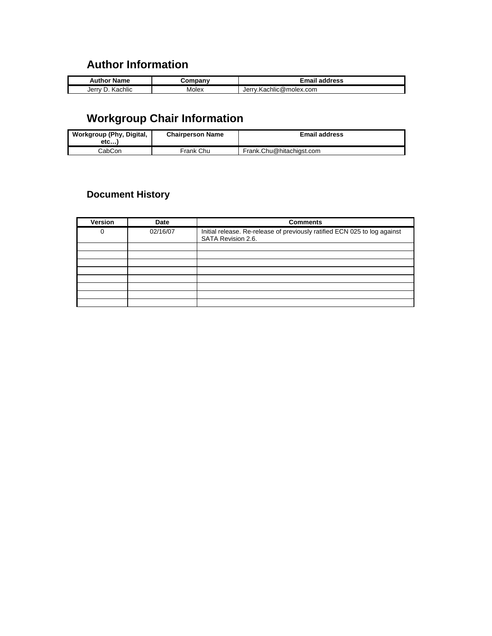## **Author Information**

| uthor<br>Name                  | `omnanı | <br>address                   |
|--------------------------------|---------|-------------------------------|
| . .<br>Jerry<br><b>Kachlıc</b> | Molex   | Kachlic@molex.com<br>Jer<br>K |

## **Workgroup Chair Information**

| Workgroup (Phy, Digital,<br>$etc.$ | <b>Chairperson Name</b> | <b>Email address</b>     |
|------------------------------------|-------------------------|--------------------------|
| CabCon                             | Frank Chu               | Frank.Chu@hitachigst.com |

## **Document History**

| Version | Date     | <b>Comments</b>                                                                                 |
|---------|----------|-------------------------------------------------------------------------------------------------|
| 0       | 02/16/07 | Initial release. Re-release of previously ratified ECN 025 to log against<br>SATA Revision 2.6. |
|         |          |                                                                                                 |
|         |          |                                                                                                 |
|         |          |                                                                                                 |
|         |          |                                                                                                 |
|         |          |                                                                                                 |
|         |          |                                                                                                 |
|         |          |                                                                                                 |
|         |          |                                                                                                 |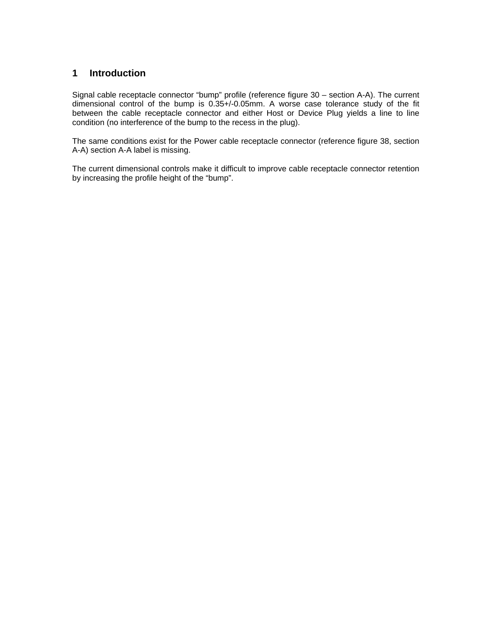### **1 Introduction**

Signal cable receptacle connector "bump" profile (reference figure 30 – section A-A). The current dimensional control of the bump is 0.35+/-0.05mm. A worse case tolerance study of the fit between the cable receptacle connector and either Host or Device Plug yields a line to line condition (no interference of the bump to the recess in the plug).

The same conditions exist for the Power cable receptacle connector (reference figure 38, section A-A) section A-A label is missing.

The current dimensional controls make it difficult to improve cable receptacle connector retention by increasing the profile height of the "bump".